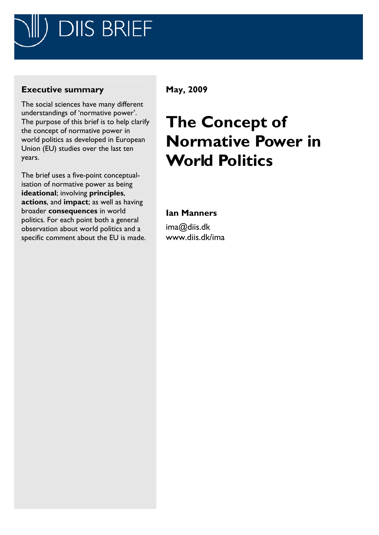

# **Executive summary**

The social sciences have many different understandings of 'normative power'. The purpose of this brief is to help clarify the concept of normative power in world politics as developed in European Union (EU) studies over the last ten years.

The brief uses a five-point conceptualisation of normative power as being **ideational**; involving **principles**, **actions**, and **impact**; as well as having broader **consequences** in world politics. For each point both a general observation about world politics and a specific comment about the EU is made.

# **May, 2009**

# **The Concept of Normative Power in World Politics**

## **Ian Manners**

ima@diis.dk www.diis.dk/ima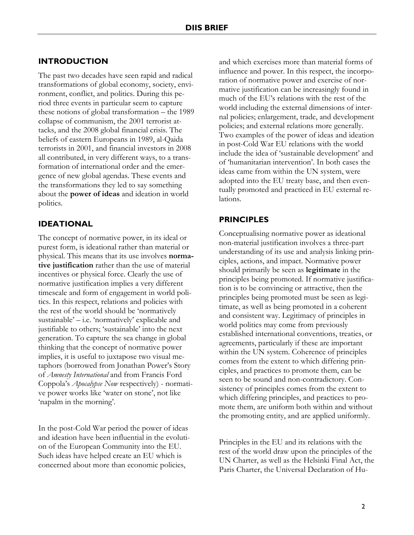#### **INTRODUCTION**

The past two decades have seen rapid and radical transformations of global economy, society, environment, conflict, and politics. During this period three events in particular seem to capture these notions of global transformation – the 1989 collapse of communism, the 2001 terrorist attacks, and the 2008 global financial crisis. The beliefs of eastern Europeans in 1989, al-Qaida terrorists in 2001, and financial investors in 2008 all contributed, in very different ways, to a transformation of international order and the emergence of new global agendas. These events and the transformations they led to say something about the **power of ideas** and ideation in world politics.

#### **IDEATIONAL**

The concept of normative power, in its ideal or purest form, is ideational rather than material or physical. This means that its use involves **normative justification** rather than the use of material incentives or physical force. Clearly the use of normative justification implies a very different timescale and form of engagement in world politics. In this respect, relations and policies with the rest of the world should be 'normatively sustainable' – i.e. 'normatively' explicable and justifiable to others; 'sustainable' into the next generation. To capture the sea change in global thinking that the concept of normative power implies, it is useful to juxtapose two visual metaphors (borrowed from Jonathan Power's Story of *Amnesty International* and from Francis Ford Coppola's *Apocalypse Now* respectively) - normative power works like 'water on stone', not like 'napalm in the morning'.

In the post-Cold War period the power of ideas and ideation have been influential in the evolution of the European Community into the EU. Such ideas have helped create an EU which is concerned about more than economic policies,

and which exercises more than material forms of influence and power. In this respect, the incorporation of normative power and exercise of normative justification can be increasingly found in much of the EU's relations with the rest of the world including the external dimensions of internal policies; enlargement, trade, and development policies; and external relations more generally. Two examples of the power of ideas and ideation in post-Cold War EU relations with the world include the idea of 'sustainable development' and of 'humanitarian intervention'. In both cases the ideas came from within the UN system, were adopted into the EU treaty base, and then eventually promoted and practiced in EU external relations.

#### **PRINCIPLES**

Conceptualising normative power as ideational non-material justification involves a three-part understanding of its use and analysis linking principles, actions, and impact. Normative power should primarily be seen as **legitimate** in the principles being promoted. If normative justification is to be convincing or attractive, then the principles being promoted must be seen as legitimate, as well as being promoted in a coherent and consistent way. Legitimacy of principles in world politics may come from previously established international conventions, treaties, or agreements, particularly if these are important within the UN system. Coherence of principles comes from the extent to which differing principles, and practices to promote them, can be seen to be sound and non-contradictory. Consistency of principles comes from the extent to which differing principles, and practices to promote them, are uniform both within and without the promoting entity, and are applied uniformly.

Principles in the EU and its relations with the rest of the world draw upon the principles of the UN Charter, as well as the Helsinki Final Act, the Paris Charter, the Universal Declaration of Hu-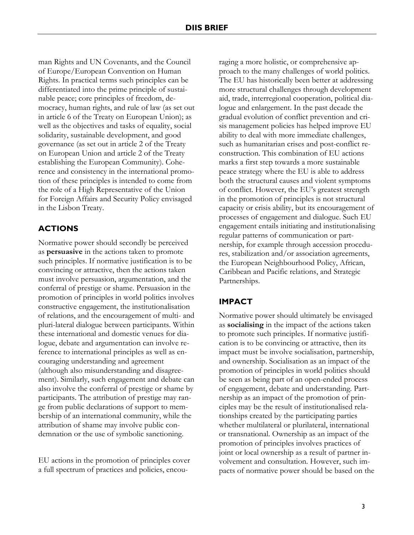man Rights and UN Covenants, and the Council of Europe/European Convention on Human Rights. In practical terms such principles can be differentiated into the prime principle of sustainable peace; core principles of freedom, democracy, human rights, and rule of law (as set out in article 6 of the Treaty on European Union); as well as the objectives and tasks of equality, social solidarity, sustainable development, and good governance (as set out in article 2 of the Treaty on European Union and article 2 of the Treaty establishing the European Community). Coherence and consistency in the international promotion of these principles is intended to come from the role of a High Representative of the Union for Foreign Affairs and Security Policy envisaged in the Lisbon Treaty.

## **ACTIONS**

Normative power should secondly be perceived as **persuasive** in the actions taken to promote such principles. If normative justification is to be convincing or attractive, then the actions taken must involve persuasion, argumentation, and the conferral of prestige or shame. Persuasion in the promotion of principles in world politics involves constructive engagement, the institutionalisation of relations, and the encouragement of multi- and pluri-lateral dialogue between participants. Within these international and domestic venues for dialogue, debate and argumentation can involve reference to international principles as well as encouraging understanding and agreement (although also misunderstanding and disagreement). Similarly, such engagement and debate can also involve the conferral of prestige or shame by participants. The attribution of prestige may range from public declarations of support to membership of an international community, while the attribution of shame may involve public condemnation or the use of symbolic sanctioning.

EU actions in the promotion of principles cover a full spectrum of practices and policies, encouraging a more holistic, or comprehensive approach to the many challenges of world politics. The EU has historically been better at addressing more structural challenges through development aid, trade, interregional cooperation, political dialogue and enlargement. In the past decade the gradual evolution of conflict prevention and crisis management policies has helped improve EU ability to deal with more immediate challenges, such as humanitarian crises and post-conflict reconstruction. This combination of EU actions marks a first step towards a more sustainable peace strategy where the EU is able to address both the structural causes and violent symptoms of conflict. However, the EU's greatest strength in the promotion of principles is not structural capacity or crisis ability, but its encouragement of processes of engagement and dialogue. Such EU engagement entails initiating and institutionalising regular patterns of communication or partnership, for example through accession procedures, stabilization and/or association agreements, the European Neighbourhood Policy, African, Caribbean and Pacific relations, and Strategic Partnerships.

## **IMPACT**

Normative power should ultimately be envisaged as **socialising** in the impact of the actions taken to promote such principles. If normative justification is to be convincing or attractive, then its impact must be involve socialisation, partnership, and ownership. Socialisation as an impact of the promotion of principles in world politics should be seen as being part of an open-ended process of engagement, debate and understanding. Partnership as an impact of the promotion of principles may be the result of institutionalised relationships created by the participating parties whether multilateral or plurilateral, international or transnational. Ownership as an impact of the promotion of principles involves practices of joint or local ownership as a result of partner involvement and consultation. However, such impacts of normative power should be based on the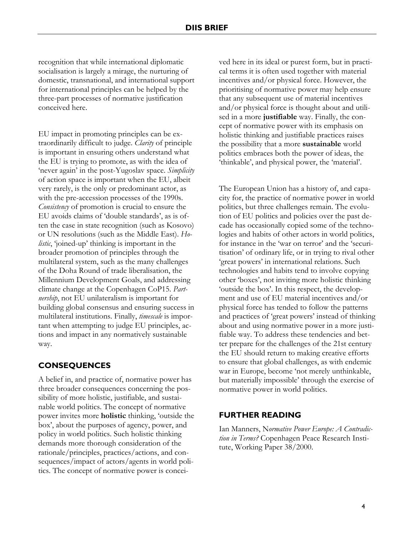recognition that while international diplomatic socialisation is largely a mirage, the nurturing of domestic, transnational, and international support for international principles can be helped by the three-part processes of normative justification conceived here.

EU impact in promoting principles can be extraordinarily difficult to judge. *Clarity* of principle is important in ensuring others understand what the EU is trying to promote, as with the idea of 'never again' in the post-Yugoslav space. *Simplicity* of action space is important when the EU, albeit very rarely, is the only or predominant actor, as with the pre-accession processes of the 1990s. *Consistency* of promotion is crucial to ensure the EU avoids claims of 'double standards', as is often the case in state recognition (such as Kosovo) or UN resolutions (such as the Middle East). *Holistic*, 'joined-up' thinking is important in the broader promotion of principles through the multilateral system, such as the many challenges of the Doha Round of trade liberalisation, the Millennium Development Goals, and addressing climate change at the Copenhagen CoP15. *Partnership*, not EU unilateralism is important for building global consensus and ensuring success in multilateral institutions. Finally, *timescale* is important when attempting to judge EU principles, actions and impact in any normatively sustainable way.

## **CONSEQUENCES**

A belief in, and practice of, normative power has three broader consequences concerning the possibility of more holistic, justifiable, and sustainable world politics. The concept of normative power invites more **holistic** thinking, 'outside the box', about the purposes of agency, power, and policy in world politics. Such holistic thinking demands more thorough consideration of the rationale/principles, practices/actions, and consequences/impact of actors/agents in world politics. The concept of normative power is conceived here in its ideal or purest form, but in practical terms it is often used together with material incentives and/or physical force. However, the prioritising of normative power may help ensure that any subsequent use of material incentives and/or physical force is thought about and utilised in a more **justifiable** way. Finally, the concept of normative power with its emphasis on holistic thinking and justifiable practices raises the possibility that a more **sustainable** world politics embraces both the power of ideas, the 'thinkable', and physical power, the 'material'.

The European Union has a history of, and capacity for, the practice of normative power in world politics, but three challenges remain. The evolution of EU politics and policies over the past decade has occasionally copied some of the technologies and habits of other actors in world politics, for instance in the 'war on terror' and the 'securitisation' of ordinary life, or in trying to rival other 'great powers' in international relations. Such technologies and habits tend to involve copying other 'boxes', not inviting more holistic thinking 'outside the box'. In this respect, the development and use of EU material incentives and/or physical force has tended to follow the patterns and practices of 'great powers' instead of thinking about and using normative power in a more justifiable way. To address these tendencies and better prepare for the challenges of the 21st century the EU should return to making creative efforts to ensure that global challenges, as with endemic war in Europe, become 'not merely unthinkable, but materially impossible' through the exercise of normative power in world politics.

#### **FURTHER READING**

Ian Manners, N*ormative Power Europe: A Contradiction in Terms?* Copenhagen Peace Research Institute, Working Paper 38/2000.